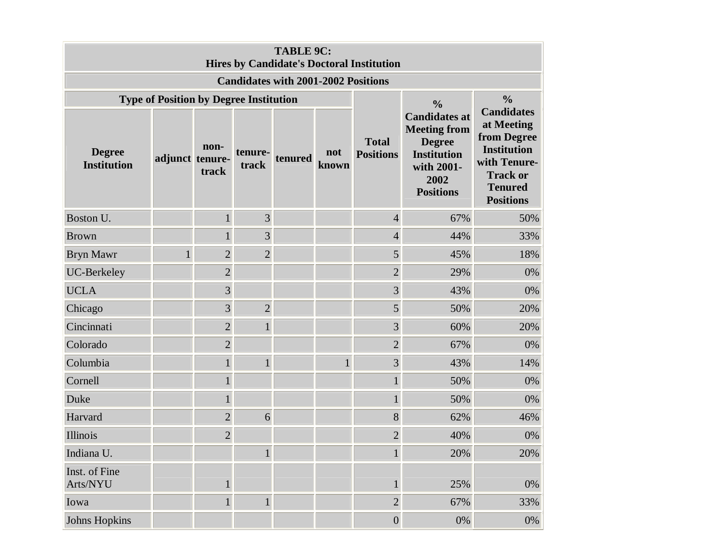| <b>TABLE 9C:</b><br><b>Hires by Candidate's Doctoral Institution</b> |                 |                |                  |         |              |                                  |                                                                                                                              |                                                                                                                                               |
|----------------------------------------------------------------------|-----------------|----------------|------------------|---------|--------------|----------------------------------|------------------------------------------------------------------------------------------------------------------------------|-----------------------------------------------------------------------------------------------------------------------------------------------|
| <b>Candidates with 2001-2002 Positions</b>                           |                 |                |                  |         |              |                                  |                                                                                                                              |                                                                                                                                               |
| <b>Type of Position by Degree Institution</b>                        |                 |                |                  |         |              |                                  | $\frac{0}{0}$                                                                                                                | $\frac{0}{0}$                                                                                                                                 |
| <b>Degree</b><br><b>Institution</b>                                  | adjunct tenure- | non-<br>track  | tenure-<br>track | tenured | not<br>known | <b>Total</b><br><b>Positions</b> | <b>Candidates at</b><br><b>Meeting from</b><br><b>Degree</b><br><b>Institution</b><br>with 2001-<br>2002<br><b>Positions</b> | <b>Candidates</b><br>at Meeting<br>from Degree<br><b>Institution</b><br>with Tenure-<br><b>Track or</b><br><b>Tenured</b><br><b>Positions</b> |
| Boston U.                                                            |                 | $\mathbf{1}$   | $\overline{3}$   |         |              | $\overline{4}$                   | 67%                                                                                                                          | 50%                                                                                                                                           |
| <b>Brown</b>                                                         |                 |                | 3                |         |              | $\overline{4}$                   | 44%                                                                                                                          | 33%                                                                                                                                           |
| <b>Bryn Mawr</b>                                                     |                 | $\overline{2}$ | $\overline{2}$   |         |              | 5                                | 45%                                                                                                                          | 18%                                                                                                                                           |
| UC-Berkeley                                                          |                 | $\sqrt{2}$     |                  |         |              | $\sqrt{2}$                       | 29%                                                                                                                          | 0%                                                                                                                                            |
| <b>UCLA</b>                                                          |                 | 3              |                  |         |              | $\overline{3}$                   | 43%                                                                                                                          | 0%                                                                                                                                            |
| Chicago                                                              |                 | 3              | $\overline{2}$   |         |              | 5                                | 50%                                                                                                                          | 20%                                                                                                                                           |
| Cincinnati                                                           |                 | $\overline{2}$ | $\mathbf{1}$     |         |              | $\overline{3}$                   | 60%                                                                                                                          | 20%                                                                                                                                           |
| Colorado                                                             |                 | $\overline{2}$ |                  |         |              | $\sqrt{2}$                       | 67%                                                                                                                          | 0%                                                                                                                                            |
| Columbia                                                             |                 | $\mathbf{1}$   |                  |         | $\mathbf{1}$ | $\overline{3}$                   | 43%                                                                                                                          | 14%                                                                                                                                           |
| Cornell                                                              |                 | $\mathbf{1}$   |                  |         |              | $\mathbf{1}$                     | 50%                                                                                                                          | 0%                                                                                                                                            |
| Duke                                                                 |                 | 1              |                  |         |              | $\mathbf{1}$                     | 50%                                                                                                                          | 0%                                                                                                                                            |
| Harvard                                                              |                 | $\overline{2}$ | 6                |         |              | 8                                | 62%                                                                                                                          | 46%                                                                                                                                           |
| Illinois                                                             |                 | $\overline{2}$ |                  |         |              | $\overline{2}$                   | 40%                                                                                                                          | 0%                                                                                                                                            |
| Indiana U.                                                           |                 |                | $1\overline{ }$  |         |              | $1\vert$                         | 20%                                                                                                                          | 20%                                                                                                                                           |
| Inst. of Fine<br>Arts/NYU                                            |                 | $\mathbf{1}$   |                  |         |              | $\mathbf{1}$                     | 25%                                                                                                                          | 0%                                                                                                                                            |
| Iowa                                                                 |                 | $\mathbf{1}$   | $\mathbf{1}$     |         |              | $\overline{c}$                   | 67%                                                                                                                          | 33%                                                                                                                                           |
| <b>Johns Hopkins</b>                                                 |                 |                |                  |         |              | $\boldsymbol{0}$                 | $0\%$                                                                                                                        | $0\%$                                                                                                                                         |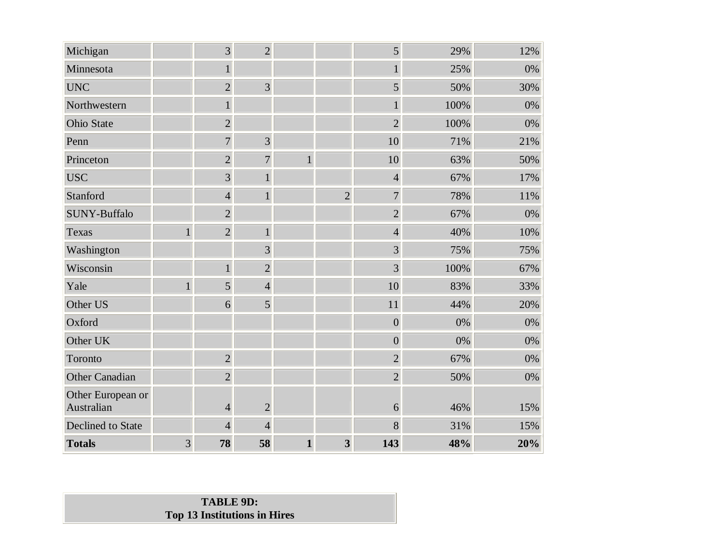| Michigan                        |                | 3              | $\overline{2}$ |              |                         | 5                | 29%  | 12% |
|---------------------------------|----------------|----------------|----------------|--------------|-------------------------|------------------|------|-----|
| Minnesota                       |                | $\mathbf{1}$   |                |              |                         | $\mathbf{1}$     | 25%  | 0%  |
| <b>UNC</b>                      |                | $\overline{2}$ | $\overline{3}$ |              |                         | 5                | 50%  | 30% |
| Northwestern                    |                |                |                |              |                         |                  | 100% | 0%  |
| <b>Ohio State</b>               |                | $\overline{2}$ |                |              |                         | $\overline{2}$   | 100% | 0%  |
| Penn                            |                | $\overline{7}$ | $\overline{3}$ |              |                         | 10               | 71%  | 21% |
| Princeton                       |                | $\overline{2}$ | $\overline{7}$ | $\mathbf{1}$ |                         | 10               | 63%  | 50% |
| <b>USC</b>                      |                | $\overline{3}$ | $\mathbf{1}$   |              |                         | $\overline{4}$   | 67%  | 17% |
| Stanford                        |                | $\overline{4}$ | $\mathbf{1}$   |              | $\overline{2}$          | $\overline{7}$   | 78%  | 11% |
| SUNY-Buffalo                    |                | $\overline{2}$ |                |              |                         | $\overline{2}$   | 67%  | 0%  |
| Texas                           | $\mathbf{1}$   | $\overline{2}$ | $\mathbf{1}$   |              |                         | $\overline{4}$   | 40%  | 10% |
| Washington                      |                |                | 3              |              |                         | $\overline{3}$   | 75%  | 75% |
| Wisconsin                       |                | $\mathbf{1}$   | $\overline{2}$ |              |                         | 3                | 100% | 67% |
| Yale                            | $\mathbf{1}$   | 5              | $\overline{4}$ |              |                         | 10               | 83%  | 33% |
| Other US                        |                | 6              | 5              |              |                         | 11               | 44%  | 20% |
| Oxford                          |                |                |                |              |                         | $\boldsymbol{0}$ | 0%   | 0%  |
| Other UK                        |                |                |                |              |                         | $\overline{0}$   | 0%   | 0%  |
| Toronto                         |                | $\overline{2}$ |                |              |                         | $\overline{2}$   | 67%  | 0%  |
| <b>Other Canadian</b>           |                | $\overline{2}$ |                |              |                         | $\overline{2}$   | 50%  | 0%  |
| Other European or<br>Australian |                | $\overline{4}$ | $\overline{2}$ |              |                         | 6                | 46%  | 15% |
| <b>Declined</b> to State        |                | $\overline{4}$ | $\overline{4}$ |              |                         | 8                | 31%  | 15% |
| <b>Totals</b>                   | $\overline{3}$ | 78             | 58             | $\mathbf{1}$ | $\overline{\mathbf{3}}$ | 143              | 48%  | 20% |